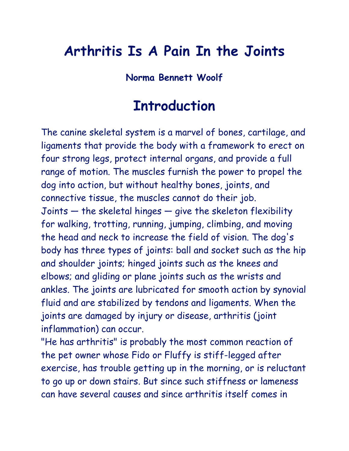## **Arthritis Is A Pain In the Joints**

#### **Norma Bennett Woolf**

## **Introduction**

The canine skeletal system is a marvel of bones, cartilage, and ligaments that provide the body with a framework to erect on four strong legs, protect internal organs, and provide a full range of motion. The muscles furnish the power to propel the dog into action, but without healthy bones, joints, and connective tissue, the muscles cannot do their job. Joints — the skeletal hinges — give the skeleton flexibility for walking, trotting, running, jumping, climbing, and moving the head and neck to increase the field of vision. The dog's body has three types of joints: ball and socket such as the hip and shoulder joints; hinged joints such as the knees and elbows; and gliding or plane joints such as the wrists and ankles. The joints are lubricated for smooth action by synovial fluid and are stabilized by tendons and ligaments. When the joints are damaged by injury or disease, arthritis (joint inflammation) can occur.

"He has arthritis" is probably the most common reaction of the pet owner whose Fido or Fluffy is stiff-legged after exercise, has trouble getting up in the morning, or is reluctant to go up or down stairs. But since such stiffness or lameness can have several causes and since arthritis itself comes in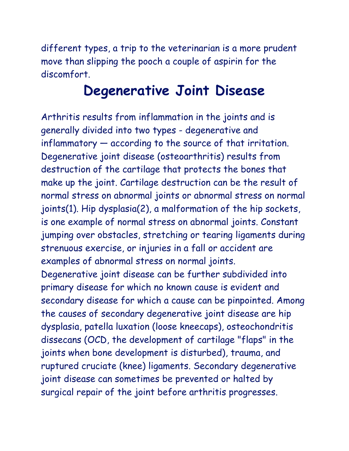different types, a trip to the veterinarian is a more prudent move than slipping the pooch a couple of aspirin for the discomfort.

#### **Degenerative Joint Disease**

Arthritis results from inflammation in the joints and is generally divided into two types - degenerative and inflammatory — according to the source of that irritation. Degenerative joint disease (osteoarthritis) results from destruction of the cartilage that protects the bones that make up the joint. Cartilage destruction can be the result of normal stress on abnormal joints or abnormal stress on normal joints(1). Hip dysplasia(2), a malformation of the hip sockets, is one example of normal stress on abnormal joints. Constant jumping over obstacles, stretching or tearing ligaments during strenuous exercise, or injuries in a fall or accident are examples of abnormal stress on normal joints. Degenerative joint disease can be further subdivided into primary disease for which no known cause is evident and secondary disease for which a cause can be pinpointed. Among the causes of secondary degenerative joint disease are hip dysplasia, patella luxation (loose kneecaps), osteochondritis dissecans (OCD, the development of cartilage "flaps" in the joints when bone development is disturbed), trauma, and ruptured cruciate (knee) ligaments. Secondary degenerative joint disease can sometimes be prevented or halted by surgical repair of the joint before arthritis progresses.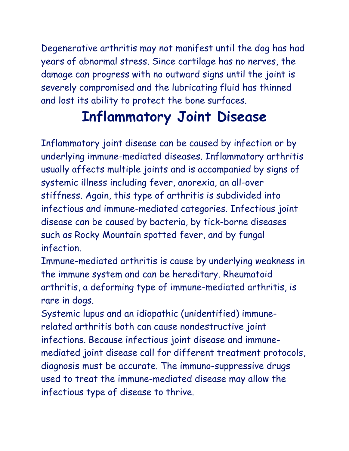Degenerative arthritis may not manifest until the dog has had years of abnormal stress. Since cartilage has no nerves, the damage can progress with no outward signs until the joint is severely compromised and the lubricating fluid has thinned and lost its ability to protect the bone surfaces.

### **Inflammatory Joint Disease**

Inflammatory joint disease can be caused by infection or by underlying immune-mediated diseases. Inflammatory arthritis usually affects multiple joints and is accompanied by signs of systemic illness including fever, anorexia, an all-over stiffness. Again, this type of arthritis is subdivided into infectious and immune-mediated categories. Infectious joint disease can be caused by bacteria, by tick-borne diseases such as Rocky Mountain spotted fever, and by fungal infection.

Immune-mediated arthritis is cause by underlying weakness in the immune system and can be hereditary. Rheumatoid arthritis, a deforming type of immune-mediated arthritis, is rare in dogs.

Systemic lupus and an idiopathic (unidentified) immunerelated arthritis both can cause nondestructive joint infections. Because infectious joint disease and immunemediated joint disease call for different treatment protocols, diagnosis must be accurate. The immuno-suppressive drugs used to treat the immune-mediated disease may allow the infectious type of disease to thrive.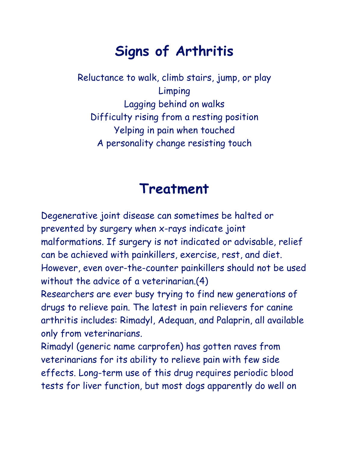# **Signs of Arthritis**

Reluctance to walk, climb stairs, jump, or play Limping Lagging behind on walks Difficulty rising from a resting position Yelping in pain when touched A personality change resisting touch

#### **Treatment**

Degenerative joint disease can sometimes be halted or prevented by surgery when x-rays indicate joint malformations. If surgery is not indicated or advisable, relief can be achieved with painkillers, exercise, rest, and diet. However, even over-the-counter painkillers should not be used without the advice of a veterinarian.(4)

Researchers are ever busy trying to find new generations of drugs to relieve pain. The latest in pain relievers for canine arthritis includes: Rimadyl, Adequan, and Palaprin, all available only from veterinarians.

Rimadyl (generic name carprofen) has gotten raves from veterinarians for its ability to relieve pain with few side effects. Long-term use of this drug requires periodic blood tests for liver function, but most dogs apparently do well on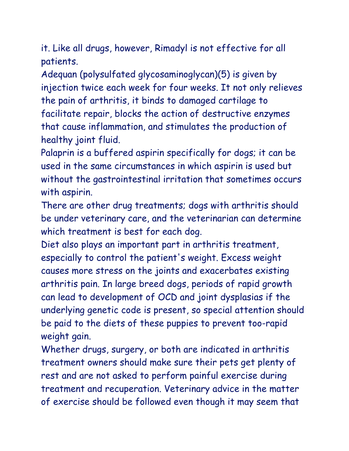it. Like all drugs, however, Rimadyl is not effective for all patients.

Adequan (polysulfated glycosaminoglycan)(5) is given by injection twice each week for four weeks. It not only relieves the pain of arthritis, it binds to damaged cartilage to facilitate repair, blocks the action of destructive enzymes that cause inflammation, and stimulates the production of healthy joint fluid.

Palaprin is a buffered aspirin specifically for dogs; it can be used in the same circumstances in which aspirin is used but without the gastrointestinal irritation that sometimes occurs with aspirin.

There are other drug treatments; dogs with arthritis should be under veterinary care, and the veterinarian can determine which treatment is best for each dog.

Diet also plays an important part in arthritis treatment, especially to control the patient's weight. Excess weight causes more stress on the joints and exacerbates existing arthritis pain. In large breed dogs, periods of rapid growth can lead to development of OCD and joint dysplasias if the underlying genetic code is present, so special attention should be paid to the diets of these puppies to prevent too-rapid weight gain.

Whether drugs, surgery, or both are indicated in arthritis treatment owners should make sure their pets get plenty of rest and are not asked to perform painful exercise during treatment and recuperation. Veterinary advice in the matter of exercise should be followed even though it may seem that